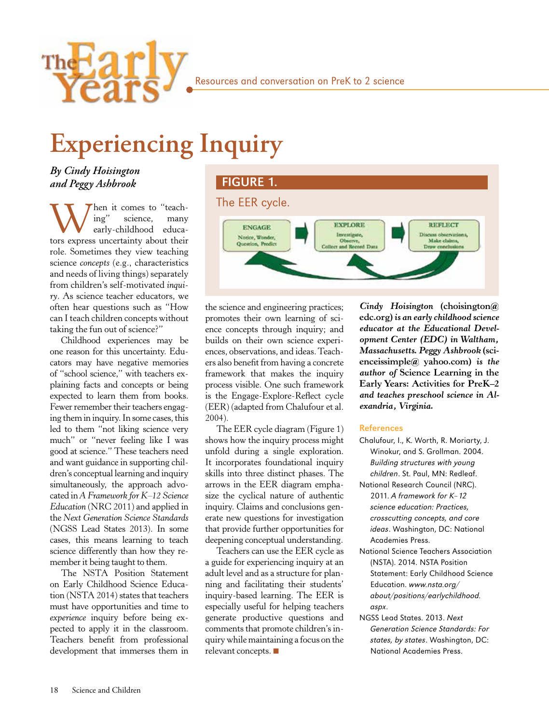

# **Experiencing Inquiry**

*By Cindy Hoisington and Peggy Ashbrook*

hen it comes to "teach-<br>ing" science, many science, early-childhood educators express uncertainty about their role. Sometimes they view teaching science *concepts* (e.g., characteristics and needs of living things) separately from children's self-motivated *inquiry*. As science teacher educators, we often hear questions such as "How can I teach children concepts without taking the fun out of science?"

Childhood experiences may be one reason for this uncertainty. Educators may have negative memories of "school science," with teachers explaining facts and concepts or being expected to learn them from books. Fewer remember their teachers engaging them in inquiry. In some cases, this led to them "not liking science very much" or "never feeling like I was good at science." These teachers need and want guidance in supporting children's conceptual learning and inquiry simultaneously, the approach advocated in *A Framework for K–12 Science Education* (NRC 2011) and applied in the *Next Generation Science Standards* (NGSS Lead States 2013). In some cases, this means learning to teach science differently than how they remember it being taught to them.

The NSTA Position Statement on Early Childhood Science Education (NSTA 2014) states that teachers must have opportunities and time to *experience* inquiry before being expected to apply it in the classroom. Teachers benefit from professional development that immerses them in

#### FIGURE 1.



the science and engineering practices; promotes their own learning of science concepts through inquiry; and builds on their own science experiences, observations, and ideas. Teachers also benefit from having a concrete framework that makes the inquiry process visible. One such framework is the Engage-Explore-Reflect cycle (EER) (adapted from Chalufour et al. 2004).

The EER cycle diagram (Figure 1) shows how the inquiry process might unfold during a single exploration. It incorporates foundational inquiry skills into three distinct phases. The arrows in the EER diagram emphasize the cyclical nature of authentic inquiry. Claims and conclusions generate new questions for investigation that provide further opportunities for deepening conceptual understanding.

Teachers can use the EER cycle as a guide for experiencing inquiry at an adult level and as a structure for planning and facilitating their students' inquiry-based learning. The EER is especially useful for helping teachers generate productive questions and comments that promote children's inquiry while maintaining a focus on the relevant concepts. ■

*Cindy Hoisington* **(choisington@ edc.org)** *is an early childhood science educator at the Educational Development Center (EDC) in Waltham, Massachusetts. Peggy Ashbrook* **(scienceissimple@ yahoo.com)** *is the author of* **Science Learning in the Early Years: Activities for PreK–2** *and teaches preschool science in Alexandria, Virginia.*

#### References

- Chalufour, I., K. Worth, R. Moriarty, J. Winokur, and S. Grollman. 2004. Building structures with young children. St. Paul, MN: Redleaf.
- National Research Council (NRC). 2011. A framework for K–12 science education: Practices, crosscutting concepts, and core ideas. Washington, DC: National Academies Press.
- National Science Teachers Association (NSTA). 2014. NSTA Position Statement: Early Childhood Science Education. www.nsta.org/ about/positions/earlychildhood. aspx.
- NGSS Lead States. 2013. Next Generation Science Standards: For states, by states. Washington, DC: National Academies Press.